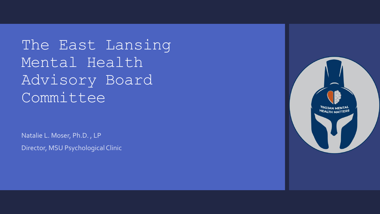The East Lansing Mental Health Advisory Board Committee

Natalie L. Moser, Ph.D. , LP Director, MSU Psychological Clinic

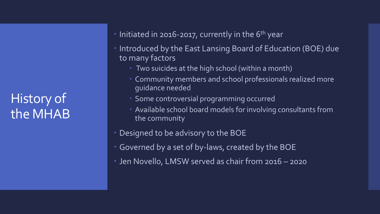History of the MHAB

- $\cdot$  Initiated in 2016-2017, currently in the 6<sup>th</sup> year
- Introduced by the East Lansing Board of Education (BOE) due to many factors
	- **Two suicides at the high school (within a month)**
	- Community members and school professionals realized more guidance needed
	- Some controversial programming occurred
	- Available school board models for involving consultants from the community
- Designed to be advisory to the BOE
- Governed by a set of by-laws, created by the BOE
- Jen Novello, LMSW served as chair from 2016 2020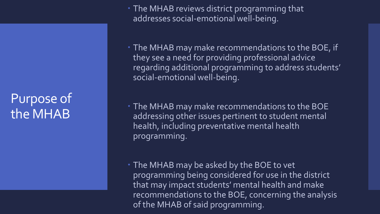## Purpose of the MHAB

• The MHAB reviews district programming that addresses social-emotional well-being.

 The MHAB may make recommendations to the BOE, if they see a need for providing professional advice regarding additional programming to address students' social-emotional well-being.

 The MHAB may make recommendations to the BOE addressing other issues pertinent to student mental health, including preventative mental health programming.

• The MHAB may be asked by the BOE to vet programming being considered for use in the district that may impact students' mental health and make recommendations to the BOE, concerning the analysis of the MHAB of said programming.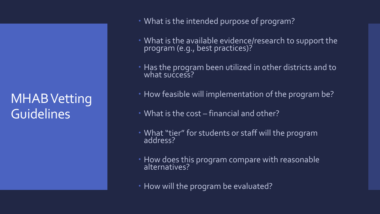## MHAB Vetting **Guidelines**

- What is the intended purpose of program?
- What is the available evidence/research to support the program (e.g., best practices)?
- **Has the program been utilized in other districts and to** what success?
- How feasible will implementation of the program be?
- What is the cost financial and other?
- What "tier" for students or staff will the program address?
- How does this program compare with reasonable alternatives?
- How will the program be evaluated?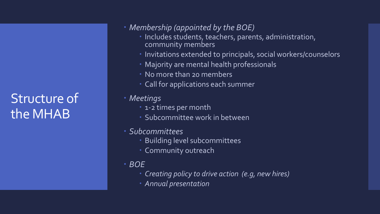## Structure of the MHAB

- *Membership (appointed by the BOE)*
	- Includes students, teachers, parents, administration, community members
	- Invitations extended to principals, social workers/counselors
	- Majority are mental health professionals
	- No more than 20 members
	- Call for applications each summer
- *Meetings*
	- 1-2 times per month
	- Subcommittee work in between
- *Subcommittees*
	- Building level subcommittees
	- Community outreach
- *BOE* 
	- *Creating policy to drive action (e.g, new hires)*
	- *Annual presentation*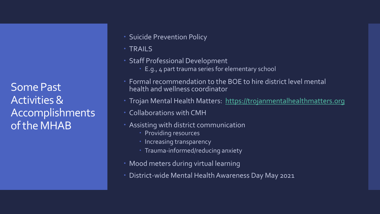Some Past Activities & Accomplishments of the MHAB

- **Suicide Prevention Policy**
- TRAILS
- Staff Professional Development
	- E.g., 4 part trauma series for elementary school
- Formal recommendation to the BOE to hire district level mental health and wellness coordinator
- Trojan Mental Health Matters: [https://trojanmentalhealthmatters.org](https://trojanmentalhealthmatters.org/)
- Collaborations with CMH
- Assisting with district communication
	- Providing resources
	- Increasing transparency
	- Trauma-informed/reducing anxiety
- Mood meters during virtual learning
- District-wide Mental Health Awareness Day May 2021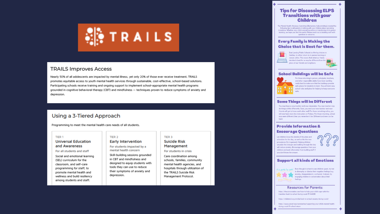

#### **TRAILS Improves Access**

Nearly 50% of all adolescents are impacted by mental illness, yet only 20% of those ever receive treatment. TRAILS promotes equitable access to youth mental health services through sustainable, cost-effective, school-based solutions. Participating schools receive training and ongoing support to implement school-appropriate mental health programs grounded in cognitive behavioral therapy (CBT) and mindfulness - techniques proven to reduce symptoms of anxiety and depression.

#### Using a 3-Tiered Approach

Programming to meet the mental health care needs of all students.

TIER<sub>2</sub>

#### TIFR 1

#### **Universal Education** and Awareness

For all students and staff

Social and emotional learning (SEL) curriculum for the classroom, and self-care programming for staff, to promote mental health and wellness and build resiliency among students and staff.

**Early Intervention** For students impacted by a

mental health concern Skill-building sessions grounded in CBT and mindfulness and designed to equip students with tools they can use to reduce their symptoms of anxiety and depression.

#### TIER 3 **Suicide Risk** Management

For students in crisis

Care coordination among schools, families, community mental health agencies, and hospitals through utilization of the TRAILS Suicide Risk Management Protocol.

#### **Tips for Discussing ELPS Transitions with your Children**

The Mental Health Advisory Committee (Elementary Subcommittee) created the following tips to aid parents in talking with your children about upcoming transitions. Whether your child is remaining online or transitioning to in-person learning, we hope you find this useful. Please reach out to building staff with questions or concerns.

#### **Every Family is Making the Choice that is Best for them.**



East Lansing Public Schools is offering choices to families, to either return to in-person learning or remain online. This means that what our family decides is best for us may be different from the plans of our friends and neighbors.

#### **School Buildings will be Safe**



For those returning in-person, principals, teachers, and other responsible adults have been working really hard to make sure that the buildings provide safe places for students to learn. You will learn new school rules and plans for helping to keep everyone

#### **Some Things will be Different**

You may have a new teacher and new classmates. You new teacher may do things a little differently. Soon, you and your new teacher and new friends will get to know each other well! For those remaining online, you will now have more live instruction on Fridays. For those returning, school may seem different then you remember it be. Different and new can be hord

#### **Provide Information & Encourage Questions**

Let children know the details of the plans and schedules for the day, as well as the the new procedures (for in-person). Helping children visualize the changes and walking through the day  $\qquad \qquad \bullet$ will reduce anxiety. Encourage questions from your children and seek information from building staff if you don't know the answer

 $\sqrt{2}$  $\Omega$ 



#### **Support all kinds of Emotions**



t's okay to  $\epsilon_0 \epsilon_1$ . Even though it is hard to see children upset, try not to downplay or dismiss their negative feelings (e.g. anxiety, disappointment, confusion). Instead, try engaging children in conversation about their

#### **Resources for Parents:**

https://theconversation.com/how-to-help-your-child-cope-with-thetransition-back-to-school-during-covid-19-144530

https://childmind.org/article/back-to-school-anxiety-during-covid/

https://www.unicef.org/coronavirus/supporting-your-childs-mental-healthduring-covid-19-school-return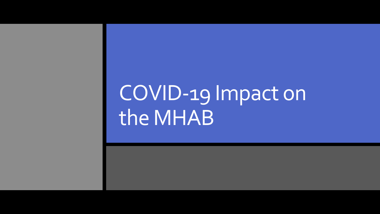# COVID-19 Impact on the MHAB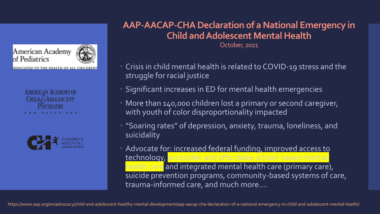### American Academy of Pediatrics

DEDICATED TO THE HEALTH OF ALL CHILDREN

**AMERICAN ACADEMY OF** CHILD  $G$  ADOLESCENT CHIATRY **AACAP . ORG** 



**AAP-AACAP-CHA Declaration of a National Emergency in Child and Adolescent Mental Health**

October, 2021

- Crisis in child mental health is related to COVID-19 stress and the struggle for racial justice
- Significant increases in ED for mental health emergencies
- More than 140,000 children lost a primary or second caregiver, with youth of color disproportionality impacted
- "Soaring rates" of depression, anxiety, trauma, loneliness, and suicidality
- Advocate for: increased federal funding, improved access to technology, health care and integrated mental health care (primary care), suicide prevention programs, community-based systems of care, trauma-informed care, and much more….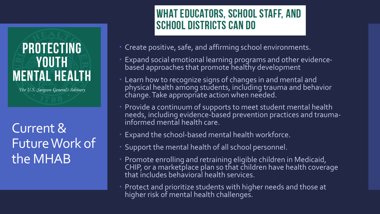## **PROTECTING** YOUTH **MENTAL HEALTH**

The U.S. Surgeon General's Advisory

Current & Future Work of the MHAB

## **WHAT EDUCATORS, SCHOOL STAFF, AND SCHOOL DISTRICTS CAN DO**

- Create positive, safe, and affirming school environments.
- Expand social emotional learning programs and other evidencebased approaches that promote healthy development
- Learn how to recognize signs of changes in and mental and physical health among students, including trauma and behavior change. Take appropriate action when needed.
- Provide a continuum of supports to meet student mental health needs, including evidence-based prevention practices and traumainformed mental health care.
- Expand the school-based mental health workforce.
- Support the mental health of all school personnel.
- Promote enrolling and retraining eligible children in Medicaid, CHIP, or a marketplace plan so that children have health coverage that includes behavioral health services.
- Protect and prioritize students with higher needs and those at higher risk of mental health challenges.